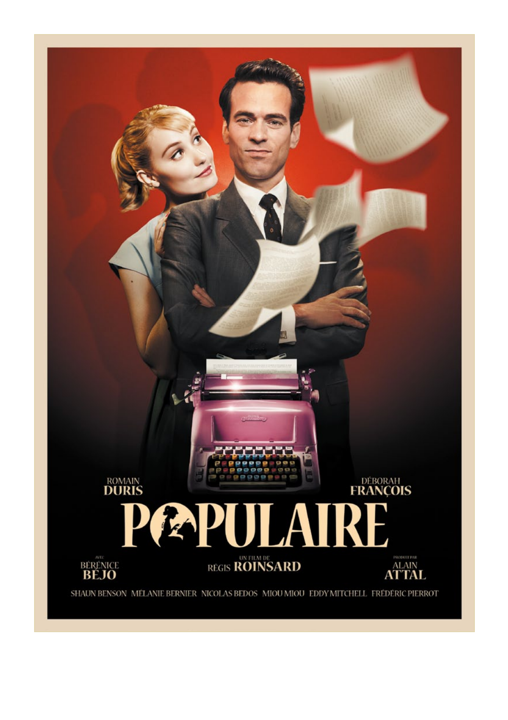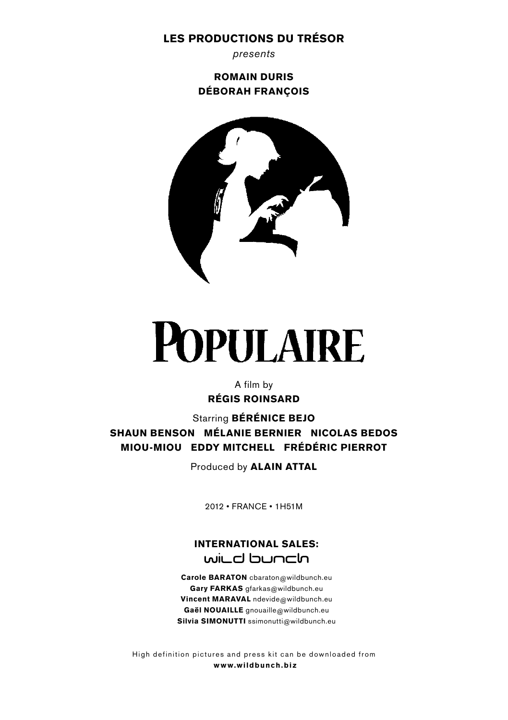# LES PRODUCTIONS DU TRÉSOR

*presents*

ROMAIN DURIS DÉBORAH FRANÇOIS



# **POPULAIRE**

A film by RÉGIS ROINSARD

Starring BÉRÉNICE BEJO SHAUN BENSON MÉLANIE BERNIER NICOLAS BEDOS MIOU-MIOU EDDY MITCHELL FRÉDÉRIC PIERROT

Produced by ALAIN ATTAL

2012 • FRANCE • 1H51M

# INTERNATIONAL SALES: will d buncln

Carole BARATON cbaraton@wildbunch.eu Gary FARKAS gfarkas@wildbunch.eu Vincent MARAVAL ndevide@wildbunch.eu Gaël NOUAILLE gnouaille@wildbunch.eu Silvia SIMONUTTI ssimonutti@wildbunch.eu

High definition pictures and press kit can be downloaded from www.wildbunch.biz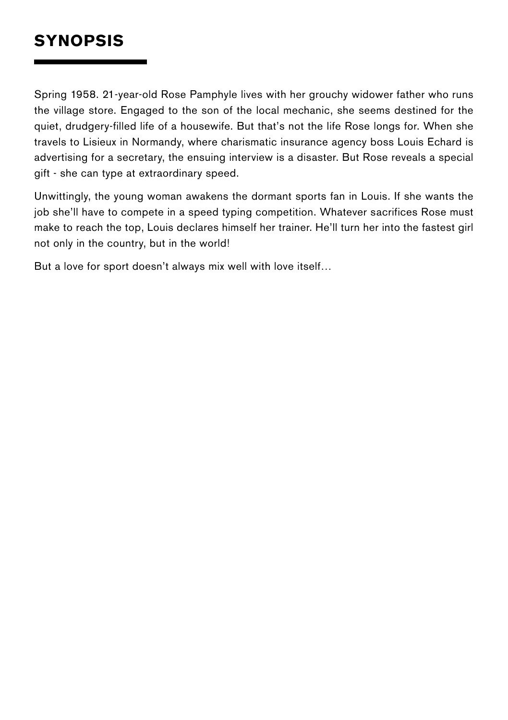# **SYNOPSIS**

Spring 1958. 21-year-old Rose Pamphyle lives with her grouchy widower father who runs the village store. Engaged to the son of the local mechanic, she seems destined for the quiet, drudgery-filled life of a housewife. But that's not the life Rose longs for. When she travels to Lisieux in Normandy, where charismatic insurance agency boss Louis Echard is advertising for a secretary, the ensuing interview is a disaster. But Rose reveals a special gift - she can type at extraordinary speed.

Unwittingly, the young woman awakens the dormant sports fan in Louis. If she wants the job she'll have to compete in a speed typing competition. Whatever sacrifices Rose must make to reach the top, Louis declares himself her trainer. He'll turn her into the fastest girl not only in the country, but in the world!

But a love for sport doesn't always mix well with love itself…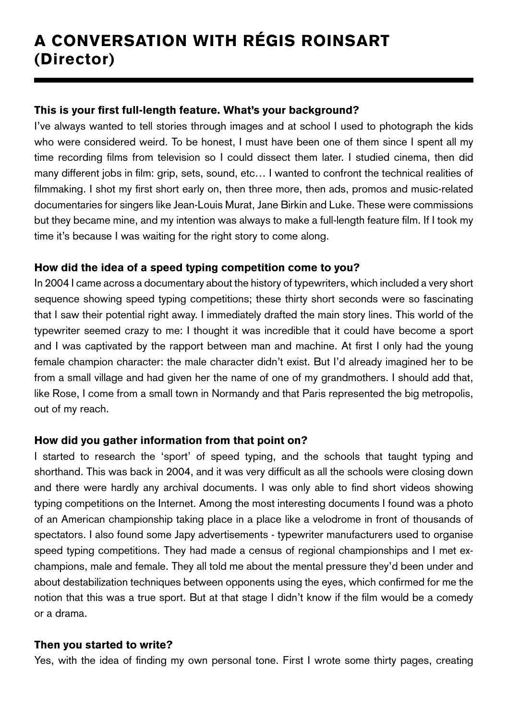# A CONVERSATION WITH RÉGIS ROINSART (Director)

# This is your first full-length feature. What's your background?

I've always wanted to tell stories through images and at school I used to photograph the kids who were considered weird. To be honest, I must have been one of them since I spent all my time recording films from television so I could dissect them later. I studied cinema, then did many different jobs in film: grip, sets, sound, etc… I wanted to confront the technical realities of filmmaking. I shot my first short early on, then three more, then ads, promos and music-related documentaries for singers like Jean-Louis Murat, Jane Birkin and Luke. These were commissions but they became mine, and my intention was always to make a full-length feature film. If I took my time it's because I was waiting for the right story to come along.

# How did the idea of a speed typing competition come to you?

In 2004 I came across a documentary about the history of typewriters, which included a very short sequence showing speed typing competitions; these thirty short seconds were so fascinating that I saw their potential right away. I immediately drafted the main story lines. This world of the typewriter seemed crazy to me: I thought it was incredible that it could have become a sport and I was captivated by the rapport between man and machine. At first I only had the young female champion character: the male character didn't exist. But I'd already imagined her to be from a small village and had given her the name of one of my grandmothers. I should add that, like Rose, I come from a small town in Normandy and that Paris represented the big metropolis, out of my reach.

# How did you gather information from that point on?

I started to research the 'sport' of speed typing, and the schools that taught typing and shorthand. This was back in 2004, and it was very difficult as all the schools were closing down and there were hardly any archival documents. I was only able to find short videos showing typing competitions on the Internet. Among the most interesting documents I found was a photo of an American championship taking place in a place like a velodrome in front of thousands of spectators. I also found some Japy advertisements - typewriter manufacturers used to organise speed typing competitions. They had made a census of regional championships and I met exchampions, male and female. They all told me about the mental pressure they'd been under and about destabilization techniques between opponents using the eyes, which confirmed for me the notion that this was a true sport. But at that stage I didn't know if the film would be a comedy or a drama.

# Then you started to write?

Yes, with the idea of finding my own personal tone. First I wrote some thirty pages, creating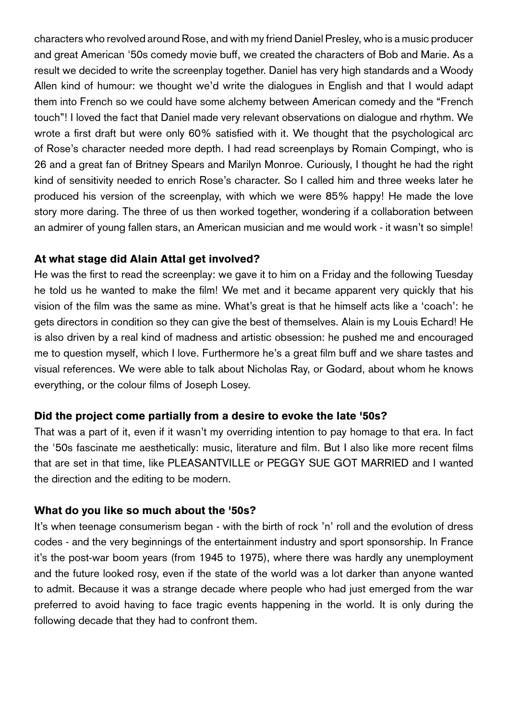characters who revolved around Rose, and with my friend Daniel Presley, who is a music producer and great American '50s comedy movie buff, we created the characters of Bob and Marie. As a result we decided to write the screenplay together. Daniel has very high standards and a Woody Allen kind of humour: we thought we'd write the dialogues in English and that I would adapt them into French so we could have some alchemy between American comedy and the "French touch"! I loved the fact that Daniel made very relevant observations on dialogue and rhythm. We wrote a first draft but were only 60% satisfied with it. We thought that the psychological arc of Rose's character needed more depth. I had read screenplays by Romain Compingt, who is 26 and a great fan of Britney Spears and Marilyn Monroe. Curiously, I thought he had the right kind of sensitivity needed to enrich Rose's character. So I called him and three weeks later he produced his version of the screenplay, with which we were 85% happy! He made the love story more daring. The three of us then worked together, wondering if a collaboration between an admirer of young fallen stars, an American musician and me would work - it wasn't so simple!

#### At what stage did Alain Attal get involved?

He was the first to read the screenplay: we gave it to him on a Friday and the following Tuesday he told us he wanted to make the film! We met and it became apparent very quickly that his vision of the film was the same as mine. What's great is that he himself acts like a 'coach': he gets directors in condition so they can give the best of themselves. Alain is my Louis Echard! He is also driven by a real kind of madness and artistic obsession: he pushed me and encouraged me to question myself, which I love. Furthermore he's a great film buff and we share tastes and visual references. We were able to talk about Nicholas Ray, or Godard, about whom he knows everything, or the colour films of Joseph Losey.

#### Did the project come partially from a desire to evoke the late '50s?

That was a part of it, even if it wasn't my overriding intention to pay homage to that era. In fact the '50s fascinate me aesthetically: music, literature and film. But I also like more recent films that are set in that time, like PLEASANTVILLE or PEGGY SUE GOT MARRIED and I wanted the direction and the editing to be modern.

#### What do you like so much about the '50s?

It's when teenage consumerism began - with the birth of rock 'n' roll and the evolution of dress codes - and the very beginnings of the entertainment industry and sport sponsorship. In France it's the post-war boom years (from 1945 to 1975), where there was hardly any unemployment and the future looked rosy, even if the state of the world was a lot darker than anyone wanted to admit. Because it was a strange decade where people who had just emerged from the war preferred to avoid having to face tragic events happening in the world. It is only during the following decade that they had to confront them.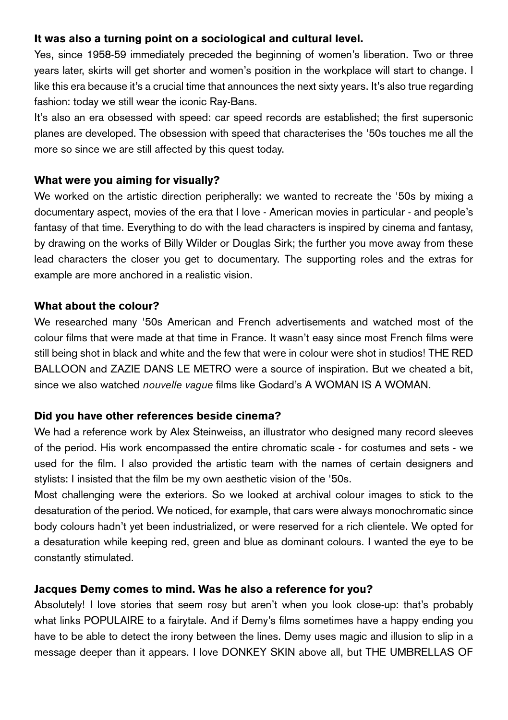# It was also a turning point on a sociological and cultural level.

Yes, since 1958-59 immediately preceded the beginning of women's liberation. Two or three years later, skirts will get shorter and women's position in the workplace will start to change. I like this era because it's a crucial time that announces the next sixty years. It's also true regarding fashion: today we still wear the iconic Ray-Bans.

It's also an era obsessed with speed: car speed records are established; the first supersonic planes are developed. The obsession with speed that characterises the '50s touches me all the more so since we are still affected by this quest today.

# What were you aiming for visually?

We worked on the artistic direction peripherally: we wanted to recreate the '50s by mixing a documentary aspect, movies of the era that I love - American movies in particular - and people's fantasy of that time. Everything to do with the lead characters is inspired by cinema and fantasy, by drawing on the works of Billy Wilder or Douglas Sirk; the further you move away from these lead characters the closer you get to documentary. The supporting roles and the extras for example are more anchored in a realistic vision.

# What about the colour?

We researched many '50s American and French advertisements and watched most of the colour films that were made at that time in France. It wasn't easy since most French films were still being shot in black and white and the few that were in colour were shot in studios! THE RED BALLOON and ZAZIE DANS LE METRO were a source of inspiration. But we cheated a bit, since we also watched *nouvelle vague* films like Godard's A WOMAN IS A WOMAN.

# Did you have other references beside cinema?

We had a reference work by Alex Steinweiss, an illustrator who designed many record sleeves of the period. His work encompassed the entire chromatic scale - for costumes and sets - we used for the film. I also provided the artistic team with the names of certain designers and stylists: I insisted that the film be my own aesthetic vision of the '50s.

Most challenging were the exteriors. So we looked at archival colour images to stick to the desaturation of the period. We noticed, for example, that cars were always monochromatic since body colours hadn't yet been industrialized, or were reserved for a rich clientele. We opted for a desaturation while keeping red, green and blue as dominant colours. I wanted the eye to be constantly stimulated.

# Jacques Demy comes to mind. Was he also a reference for you?

Absolutely! I love stories that seem rosy but aren't when you look close-up: that's probably what links POPULAIRE to a fairytale. And if Demy's films sometimes have a happy ending you have to be able to detect the irony between the lines. Demy uses magic and illusion to slip in a message deeper than it appears. I love DONKEY SKIN above all, but THE UMBRELLAS OF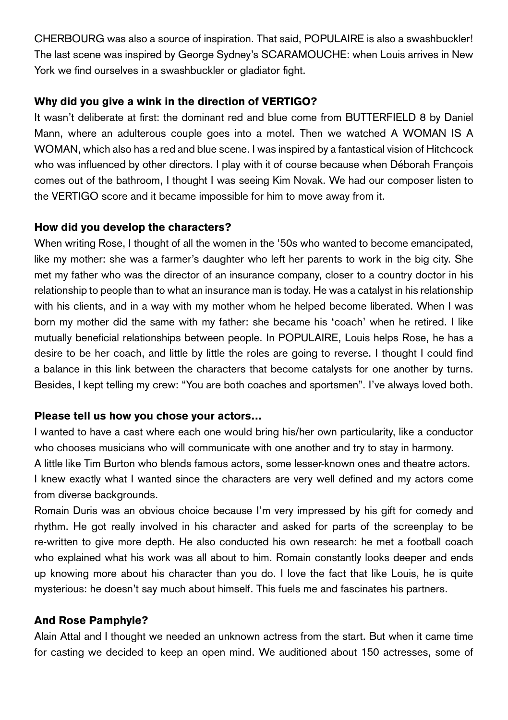CHERBOURG was also a source of inspiration. That said, POPULAIRE is also a swashbuckler! The last scene was inspired by George Sydney's SCARAMOUCHE: when Louis arrives in New York we find ourselves in a swashbuckler or gladiator fight.

# Why did you give a wink in the direction of VERTIGO?

It wasn't deliberate at first: the dominant red and blue come from BUTTERFIELD 8 by Daniel Mann, where an adulterous couple goes into a motel. Then we watched A WOMAN IS A WOMAN, which also has a red and blue scene. I was inspired by a fantastical vision of Hitchcock who was influenced by other directors. I play with it of course because when Déborah François comes out of the bathroom, I thought I was seeing Kim Novak. We had our composer listen to the VERTIGO score and it became impossible for him to move away from it.

# How did you develop the characters?

When writing Rose, I thought of all the women in the '50s who wanted to become emancipated, like my mother: she was a farmer's daughter who left her parents to work in the big city. She met my father who was the director of an insurance company, closer to a country doctor in his relationship to people than to what an insurance man is today. He was a catalyst in his relationship with his clients, and in a way with my mother whom he helped become liberated. When I was born my mother did the same with my father: she became his 'coach' when he retired. I like mutually beneficial relationships between people. In POPULAIRE, Louis helps Rose, he has a desire to be her coach, and little by little the roles are going to reverse. I thought I could find a balance in this link between the characters that become catalysts for one another by turns. Besides, I kept telling my crew: "You are both coaches and sportsmen". I've always loved both.

# Please tell us how you chose your actors…

I wanted to have a cast where each one would bring his/her own particularity, like a conductor who chooses musicians who will communicate with one another and try to stay in harmony. A little like Tim Burton who blends famous actors, some lesser-known ones and theatre actors. I knew exactly what I wanted since the characters are very well defined and my actors come from diverse backgrounds.

Romain Duris was an obvious choice because I'm very impressed by his gift for comedy and rhythm. He got really involved in his character and asked for parts of the screenplay to be re-written to give more depth. He also conducted his own research: he met a football coach who explained what his work was all about to him. Romain constantly looks deeper and ends up knowing more about his character than you do. I love the fact that like Louis, he is quite mysterious: he doesn't say much about himself. This fuels me and fascinates his partners.

# And Rose Pamphyle?

Alain Attal and I thought we needed an unknown actress from the start. But when it came time for casting we decided to keep an open mind. We auditioned about 150 actresses, some of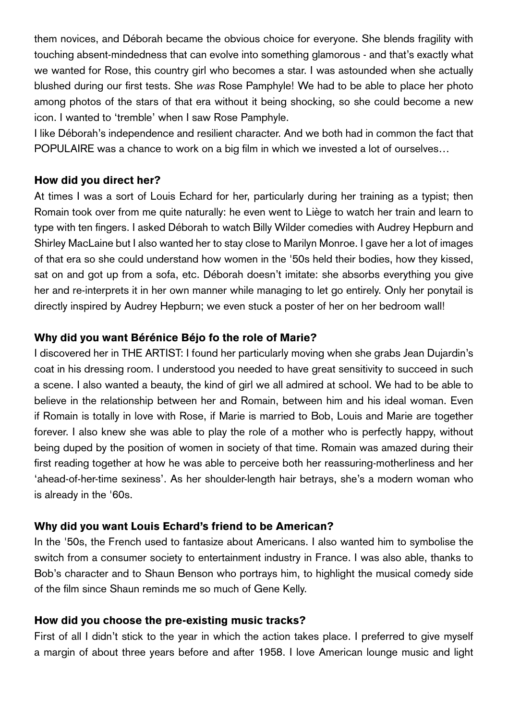them novices, and Déborah became the obvious choice for everyone. She blends fragility with touching absent-mindedness that can evolve into something glamorous - and that's exactly what we wanted for Rose, this country girl who becomes a star. I was astounded when she actually blushed during our first tests. She *was* Rose Pamphyle! We had to be able to place her photo among photos of the stars of that era without it being shocking, so she could become a new icon. I wanted to 'tremble' when I saw Rose Pamphyle.

I like Déborah's independence and resilient character. And we both had in common the fact that POPULAIRE was a chance to work on a big film in which we invested a lot of ourselves…

# How did you direct her?

At times I was a sort of Louis Echard for her, particularly during her training as a typist; then Romain took over from me quite naturally: he even went to Liège to watch her train and learn to type with ten fingers. I asked Déborah to watch Billy Wilder comedies with Audrey Hepburn and Shirley MacLaine but I also wanted her to stay close to Marilyn Monroe. I gave her a lot of images of that era so she could understand how women in the '50s held their bodies, how they kissed, sat on and got up from a sofa, etc. Déborah doesn't imitate: she absorbs everything you give her and re-interprets it in her own manner while managing to let go entirely. Only her ponytail is directly inspired by Audrey Hepburn; we even stuck a poster of her on her bedroom wall!

# Why did you want Bérénice Béjo fo the role of Marie?

I discovered her in THE ARTIST: I found her particularly moving when she grabs Jean Dujardin's coat in his dressing room. I understood you needed to have great sensitivity to succeed in such a scene. I also wanted a beauty, the kind of girl we all admired at school. We had to be able to believe in the relationship between her and Romain, between him and his ideal woman. Even if Romain is totally in love with Rose, if Marie is married to Bob, Louis and Marie are together forever. I also knew she was able to play the role of a mother who is perfectly happy, without being duped by the position of women in society of that time. Romain was amazed during their first reading together at how he was able to perceive both her reassuring-motherliness and her 'ahead-of-her-time sexiness'. As her shoulder-length hair betrays, she's a modern woman who is already in the '60s.

# Why did you want Louis Echard's friend to be American?

In the '50s, the French used to fantasize about Americans. I also wanted him to symbolise the switch from a consumer society to entertainment industry in France. I was also able, thanks to Bob's character and to Shaun Benson who portrays him, to highlight the musical comedy side of the film since Shaun reminds me so much of Gene Kelly.

# How did you choose the pre-existing music tracks?

First of all I didn't stick to the year in which the action takes place. I preferred to give myself a margin of about three years before and after 1958. I love American lounge music and light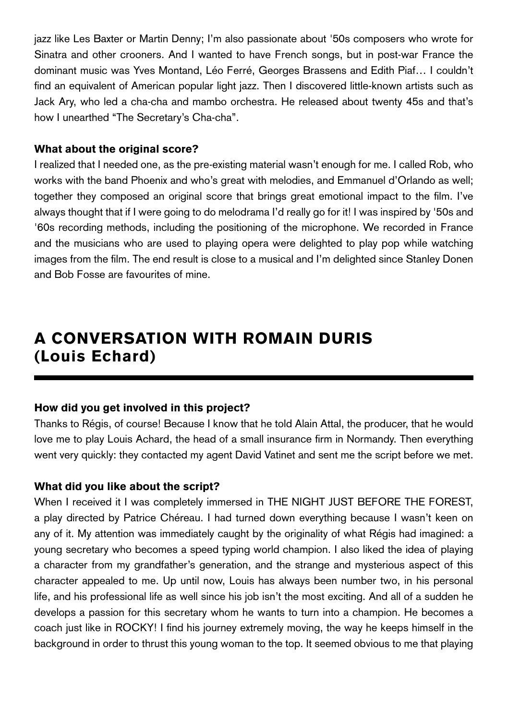jazz like Les Baxter or Martin Denny; I'm also passionate about '50s composers who wrote for Sinatra and other crooners. And I wanted to have French songs, but in post-war France the dominant music was Yves Montand, Léo Ferré, Georges Brassens and Edith Piaf… I couldn't find an equivalent of American popular light jazz. Then I discovered little-known artists such as Jack Ary, who led a cha-cha and mambo orchestra. He released about twenty 45s and that's how I unearthed "The Secretary's Cha-cha".

# What about the original score?

I realized that I needed one, as the pre-existing material wasn't enough for me. I called Rob, who works with the band Phoenix and who's great with melodies, and Emmanuel d'Orlando as well; together they composed an original score that brings great emotional impact to the film. I've always thought that if I were going to do melodrama I'd really go for it! I was inspired by '50s and '60s recording methods, including the positioning of the microphone. We recorded in France and the musicians who are used to playing opera were delighted to play pop while watching images from the film. The end result is close to a musical and I'm delighted since Stanley Donen and Bob Fosse are favourites of mine.

# A CONVERSATION WITH ROMAIN DURIS (Louis Echard)

# How did you get involved in this project?

Thanks to Régis, of course! Because I know that he told Alain Attal, the producer, that he would love me to play Louis Achard, the head of a small insurance firm in Normandy. Then everything went very quickly: they contacted my agent David Vatinet and sent me the script before we met.

# What did you like about the script?

When I received it I was completely immersed in THE NIGHT JUST BEFORE THE FOREST, a play directed by Patrice Chéreau. I had turned down everything because I wasn't keen on any of it. My attention was immediately caught by the originality of what Régis had imagined: a young secretary who becomes a speed typing world champion. I also liked the idea of playing a character from my grandfather's generation, and the strange and mysterious aspect of this character appealed to me. Up until now, Louis has always been number two, in his personal life, and his professional life as well since his job isn't the most exciting. And all of a sudden he develops a passion for this secretary whom he wants to turn into a champion. He becomes a coach just like in ROCKY! I find his journey extremely moving, the way he keeps himself in the background in order to thrust this young woman to the top. It seemed obvious to me that playing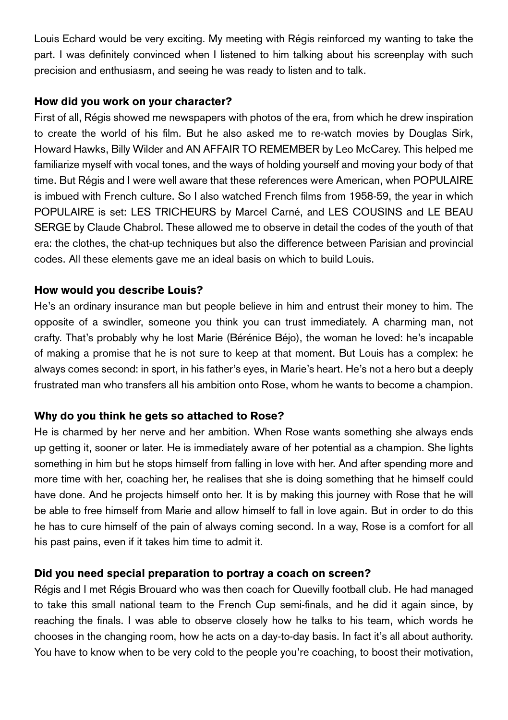Louis Echard would be very exciting. My meeting with Régis reinforced my wanting to take the part. I was definitely convinced when I listened to him talking about his screenplay with such precision and enthusiasm, and seeing he was ready to listen and to talk.

# How did you work on your character?

First of all, Régis showed me newspapers with photos of the era, from which he drew inspiration to create the world of his film. But he also asked me to re-watch movies by Douglas Sirk, Howard Hawks, Billy Wilder and AN AFFAIR TO REMEMBER by Leo McCarey. This helped me familiarize myself with vocal tones, and the ways of holding yourself and moving your body of that time. But Régis and I were well aware that these references were American, when POPULAIRE is imbued with French culture. So I also watched French films from 1958-59, the year in which POPULAIRE is set: LES TRICHEURS by Marcel Carné, and LES COUSINS and LE BEAU SERGE by Claude Chabrol. These allowed me to observe in detail the codes of the youth of that era: the clothes, the chat-up techniques but also the difference between Parisian and provincial codes. All these elements gave me an ideal basis on which to build Louis.

# How would you describe Louis?

He's an ordinary insurance man but people believe in him and entrust their money to him. The opposite of a swindler, someone you think you can trust immediately. A charming man, not crafty. That's probably why he lost Marie (Bérénice Béjo), the woman he loved: he's incapable of making a promise that he is not sure to keep at that moment. But Louis has a complex: he always comes second: in sport, in his father's eyes, in Marie's heart. He's not a hero but a deeply frustrated man who transfers all his ambition onto Rose, whom he wants to become a champion.

# Why do you think he gets so attached to Rose?

He is charmed by her nerve and her ambition. When Rose wants something she always ends up getting it, sooner or later. He is immediately aware of her potential as a champion. She lights something in him but he stops himself from falling in love with her. And after spending more and more time with her, coaching her, he realises that she is doing something that he himself could have done. And he projects himself onto her. It is by making this journey with Rose that he will be able to free himself from Marie and allow himself to fall in love again. But in order to do this he has to cure himself of the pain of always coming second. In a way, Rose is a comfort for all his past pains, even if it takes him time to admit it.

# Did you need special preparation to portray a coach on screen?

Régis and I met Régis Brouard who was then coach for Quevilly football club. He had managed to take this small national team to the French Cup semi-finals, and he did it again since, by reaching the finals. I was able to observe closely how he talks to his team, which words he chooses in the changing room, how he acts on a day-to-day basis. In fact it's all about authority. You have to know when to be very cold to the people you're coaching, to boost their motivation,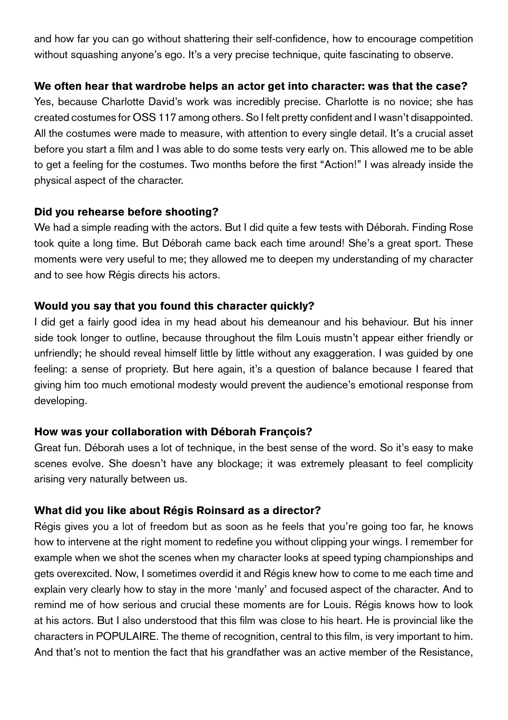and how far you can go without shattering their self-confidence, how to encourage competition without squashing anyone's ego. It's a very precise technique, quite fascinating to observe.

# We often hear that wardrobe helps an actor get into character: was that the case?

Yes, because Charlotte David's work was incredibly precise. Charlotte is no novice; she has created costumes for OSS 117 among others. So I felt pretty confident and I wasn't disappointed. All the costumes were made to measure, with attention to every single detail. It's a crucial asset before you start a film and I was able to do some tests very early on. This allowed me to be able to get a feeling for the costumes. Two months before the first "Action!" I was already inside the physical aspect of the character.

# Did you rehearse before shooting?

We had a simple reading with the actors. But I did quite a few tests with Déborah. Finding Rose took quite a long time. But Déborah came back each time around! She's a great sport. These moments were very useful to me; they allowed me to deepen my understanding of my character and to see how Régis directs his actors.

# Would you say that you found this character quickly?

I did get a fairly good idea in my head about his demeanour and his behaviour. But his inner side took longer to outline, because throughout the film Louis mustn't appear either friendly or unfriendly; he should reveal himself little by little without any exaggeration. I was guided by one feeling: a sense of propriety. But here again, it's a question of balance because I feared that giving him too much emotional modesty would prevent the audience's emotional response from developing.

# How was your collaboration with Déborah François?

Great fun. Déborah uses a lot of technique, in the best sense of the word. So it's easy to make scenes evolve. She doesn't have any blockage; it was extremely pleasant to feel complicity arising very naturally between us.

# What did you like about Régis Roinsard as a director?

Régis gives you a lot of freedom but as soon as he feels that you're going too far, he knows how to intervene at the right moment to redefine you without clipping your wings. I remember for example when we shot the scenes when my character looks at speed typing championships and gets overexcited. Now, I sometimes overdid it and Régis knew how to come to me each time and explain very clearly how to stay in the more 'manly' and focused aspect of the character. And to remind me of how serious and crucial these moments are for Louis. Régis knows how to look at his actors. But I also understood that this film was close to his heart. He is provincial like the characters in POPULAIRE. The theme of recognition, central to this film, is very important to him. And that's not to mention the fact that his grandfather was an active member of the Resistance,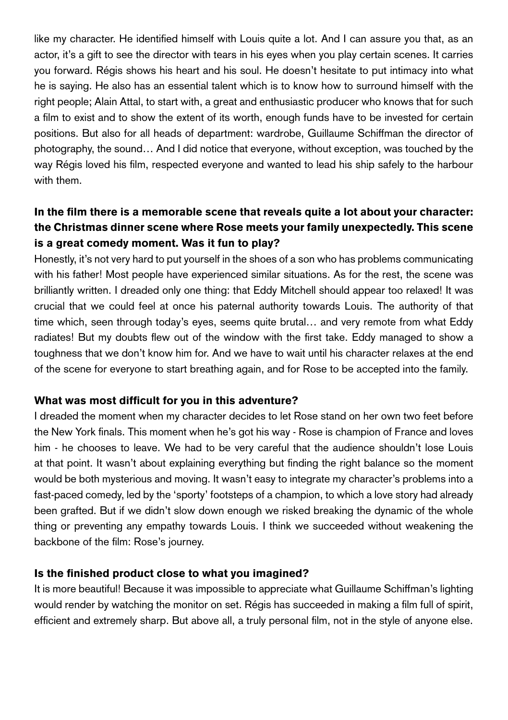like my character. He identified himself with Louis quite a lot. And I can assure you that, as an actor, it's a gift to see the director with tears in his eyes when you play certain scenes. It carries you forward. Régis shows his heart and his soul. He doesn't hesitate to put intimacy into what he is saying. He also has an essential talent which is to know how to surround himself with the right people; Alain Attal, to start with, a great and enthusiastic producer who knows that for such a film to exist and to show the extent of its worth, enough funds have to be invested for certain positions. But also for all heads of department: wardrobe, Guillaume Schiffman the director of photography, the sound… And I did notice that everyone, without exception, was touched by the way Régis loved his film, respected everyone and wanted to lead his ship safely to the harbour with them.

# In the film there is a memorable scene that reveals quite a lot about your character: the Christmas dinner scene where Rose meets your family unexpectedly. This scene is a great comedy moment. Was it fun to play?

Honestly, it's not very hard to put yourself in the shoes of a son who has problems communicating with his father! Most people have experienced similar situations. As for the rest, the scene was brilliantly written. I dreaded only one thing: that Eddy Mitchell should appear too relaxed! It was crucial that we could feel at once his paternal authority towards Louis. The authority of that time which, seen through today's eyes, seems quite brutal… and very remote from what Eddy radiates! But my doubts flew out of the window with the first take. Eddy managed to show a toughness that we don't know him for. And we have to wait until his character relaxes at the end of the scene for everyone to start breathing again, and for Rose to be accepted into the family.

#### What was most difficult for you in this adventure?

I dreaded the moment when my character decides to let Rose stand on her own two feet before the New York finals. This moment when he's got his way - Rose is champion of France and loves him - he chooses to leave. We had to be very careful that the audience shouldn't lose Louis at that point. It wasn't about explaining everything but finding the right balance so the moment would be both mysterious and moving. It wasn't easy to integrate my character's problems into a fast-paced comedy, led by the 'sporty' footsteps of a champion, to which a love story had already been grafted. But if we didn't slow down enough we risked breaking the dynamic of the whole thing or preventing any empathy towards Louis. I think we succeeded without weakening the backbone of the film: Rose's journey.

# Is the finished product close to what you imagined?

It is more beautiful! Because it was impossible to appreciate what Guillaume Schiffman's lighting would render by watching the monitor on set. Régis has succeeded in making a film full of spirit, efficient and extremely sharp. But above all, a truly personal film, not in the style of anyone else.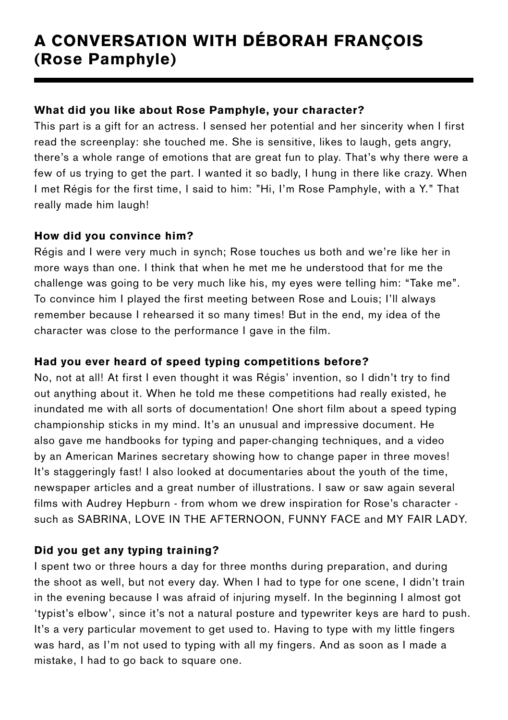# A CONVERSATION WITH DÉBORAH FRANÇOIS (Rose Pamphyle)

# What did you like about Rose Pamphyle, your character?

This part is a gift for an actress. I sensed her potential and her sincerity when I first read the screenplay: she touched me. She is sensitive, likes to laugh, gets angry, there's a whole range of emotions that are great fun to play. That's why there were a few of us trying to get the part. I wanted it so badly, I hung in there like crazy. When I met Régis for the first time, I said to him: "Hi, I'm Rose Pamphyle, with a Y." That really made him laugh!

# How did you convince him?

Régis and I were very much in synch; Rose touches us both and we're like her in more ways than one. I think that when he met me he understood that for me the challenge was going to be very much like his, my eyes were telling him: "Take me". To convince him I played the first meeting between Rose and Louis; I'll always remember because I rehearsed it so many times! But in the end, my idea of the character was close to the performance I gave in the film.

# Had you ever heard of speed typing competitions before?

No, not at all! At first I even thought it was Régis' invention, so I didn't try to find out anything about it. When he told me these competitions had really existed, he inundated me with all sorts of documentation! One short film about a speed typing championship sticks in my mind. It's an unusual and impressive document. He also gave me handbooks for typing and paper-changing techniques, and a video by an American Marines secretary showing how to change paper in three moves! It's staggeringly fast! I also looked at documentaries about the youth of the time, newspaper articles and a great number of illustrations. I saw or saw again several films with Audrey Hepburn - from whom we drew inspiration for Rose's character such as SABRINA, LOVE IN THE AFTERNOON, FUNNY FACE and MY FAIR LADY.

# Did you get any typing training?

I spent two or three hours a day for three months during preparation, and during the shoot as well, but not every day. When I had to type for one scene, I didn't train in the evening because I was afraid of injuring myself. In the beginning I almost got 'typist's elbow', since it's not a natural posture and typewriter keys are hard to push. It's a very particular movement to get used to. Having to type with my little fingers was hard, as I'm not used to typing with all my fingers. And as soon as I made a mistake, I had to go back to square one.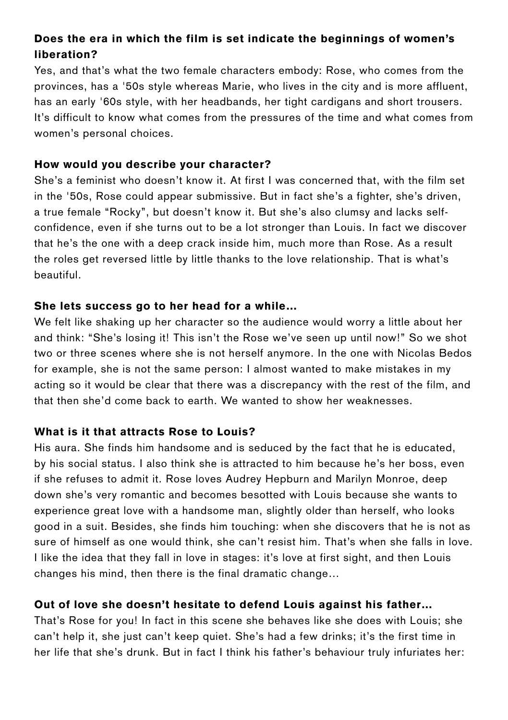# Does the era in which the film is set indicate the beginnings of women's liberation?

Yes, and that's what the two female characters embody: Rose, who comes from the provinces, has a '50s style whereas Marie, who lives in the city and is more affluent, has an early '60s style, with her headbands, her tight cardigans and short trousers. It's difficult to know what comes from the pressures of the time and what comes from women's personal choices.

# How would you describe your character?

She's a feminist who doesn't know it. At first I was concerned that, with the film set in the '50s, Rose could appear submissive. But in fact she's a fighter, she's driven, a true female "Rocky", but doesn't know it. But she's also clumsy and lacks selfconfidence, even if she turns out to be a lot stronger than Louis. In fact we discover that he's the one with a deep crack inside him, much more than Rose. As a result the roles get reversed little by little thanks to the love relationship. That is what's beautiful.

# She lets success go to her head for a while…

We felt like shaking up her character so the audience would worry a little about her and think: "She's losing it! This isn't the Rose we've seen up until now!" So we shot two or three scenes where she is not herself anymore. In the one with Nicolas Bedos for example, she is not the same person: I almost wanted to make mistakes in my acting so it would be clear that there was a discrepancy with the rest of the film, and that then she'd come back to earth. We wanted to show her weaknesses.

# What is it that attracts Rose to Louis?

His aura. She finds him handsome and is seduced by the fact that he is educated, by his social status. I also think she is attracted to him because he's her boss, even if she refuses to admit it. Rose loves Audrey Hepburn and Marilyn Monroe, deep down she's very romantic and becomes besotted with Louis because she wants to experience great love with a handsome man, slightly older than herself, who looks good in a suit. Besides, she finds him touching: when she discovers that he is not as sure of himself as one would think, she can't resist him. That's when she falls in love. I like the idea that they fall in love in stages: it's love at first sight, and then Louis changes his mind, then there is the final dramatic change…

# Out of love she doesn't hesitate to defend Louis against his father…

That's Rose for you! In fact in this scene she behaves like she does with Louis; she can't help it, she just can't keep quiet. She's had a few drinks; it's the first time in her life that she's drunk. But in fact I think his father's behaviour truly infuriates her: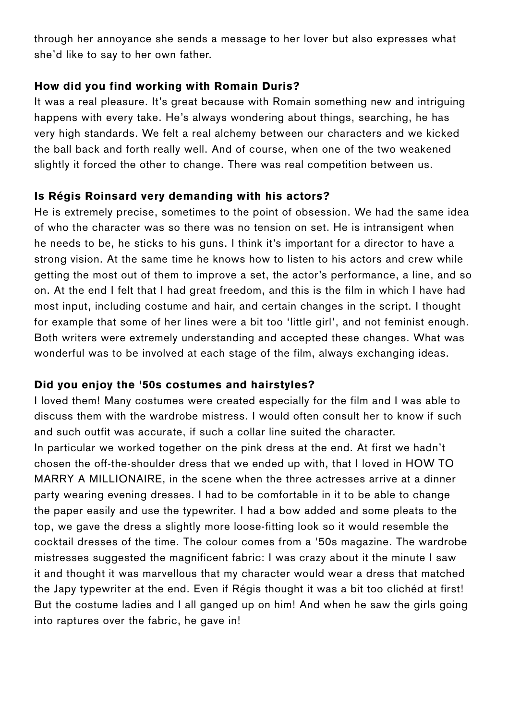through her annoyance she sends a message to her lover but also expresses what she'd like to say to her own father.

# How did you find working with Romain Duris?

It was a real pleasure. It's great because with Romain something new and intriguing happens with every take. He's always wondering about things, searching, he has very high standards. We felt a real alchemy between our characters and we kicked the ball back and forth really well. And of course, when one of the two weakened slightly it forced the other to change. There was real competition between us.

# Is Régis Roinsard very demanding with his actors?

He is extremely precise, sometimes to the point of obsession. We had the same idea of who the character was so there was no tension on set. He is intransigent when he needs to be, he sticks to his guns. I think it's important for a director to have a strong vision. At the same time he knows how to listen to his actors and crew while getting the most out of them to improve a set, the actor's performance, a line, and so on. At the end I felt that I had great freedom, and this is the film in which I have had most input, including costume and hair, and certain changes in the script. I thought for example that some of her lines were a bit too 'little girl', and not feminist enough. Both writers were extremely understanding and accepted these changes. What was wonderful was to be involved at each stage of the film, always exchanging ideas.

# Did you enjoy the '50s costumes and hairstyles?

I loved them! Many costumes were created especially for the film and I was able to discuss them with the wardrobe mistress. I would often consult her to know if such and such outfit was accurate, if such a collar line suited the character.

In particular we worked together on the pink dress at the end. At first we hadn't chosen the off-the-shoulder dress that we ended up with, that I loved in HOW TO MARRY A MILLIONAIRE, in the scene when the three actresses arrive at a dinner party wearing evening dresses. I had to be comfortable in it to be able to change the paper easily and use the typewriter. I had a bow added and some pleats to the top, we gave the dress a slightly more loose-fitting look so it would resemble the cocktail dresses of the time. The colour comes from a '50s magazine. The wardrobe mistresses suggested the magnificent fabric: I was crazy about it the minute I saw it and thought it was marvellous that my character would wear a dress that matched the Japy typewriter at the end. Even if Régis thought it was a bit too clichéd at first! But the costume ladies and I all ganged up on him! And when he saw the girls going into raptures over the fabric, he gave in!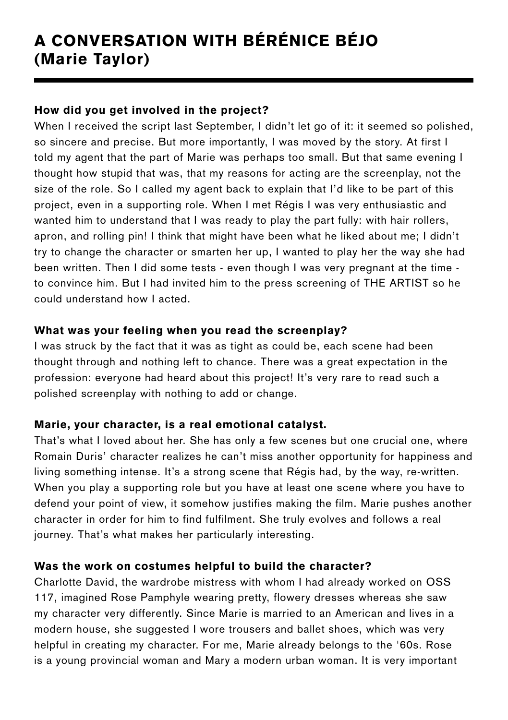# A CONVERSATION WITH BÉRÉNICE BÉJO (Marie Taylor)

# How did you get involved in the project?

When I received the script last September, I didn't let go of it: it seemed so polished, so sincere and precise. But more importantly, I was moved by the story. At first I told my agent that the part of Marie was perhaps too small. But that same evening I thought how stupid that was, that my reasons for acting are the screenplay, not the size of the role. So I called my agent back to explain that I'd like to be part of this project, even in a supporting role. When I met Régis I was very enthusiastic and wanted him to understand that I was ready to play the part fully: with hair rollers, apron, and rolling pin! I think that might have been what he liked about me; I didn't try to change the character or smarten her up, I wanted to play her the way she had been written. Then I did some tests - even though I was very pregnant at the time to convince him. But I had invited him to the press screening of THE ARTIST so he could understand how I acted.

# What was your feeling when you read the screenplay?

I was struck by the fact that it was as tight as could be, each scene had been thought through and nothing left to chance. There was a great expectation in the profession: everyone had heard about this project! It's very rare to read such a polished screenplay with nothing to add or change.

# Marie, your character, is a real emotional catalyst.

That's what I loved about her. She has only a few scenes but one crucial one, where Romain Duris' character realizes he can't miss another opportunity for happiness and living something intense. It's a strong scene that Régis had, by the way, re-written. When you play a supporting role but you have at least one scene where you have to defend your point of view, it somehow justifies making the film. Marie pushes another character in order for him to find fulfilment. She truly evolves and follows a real journey. That's what makes her particularly interesting.

# Was the work on costumes helpful to build the character?

Charlotte David, the wardrobe mistress with whom I had already worked on OSS 117, imagined Rose Pamphyle wearing pretty, flowery dresses whereas she saw my character very differently. Since Marie is married to an American and lives in a modern house, she suggested I wore trousers and ballet shoes, which was very helpful in creating my character. For me, Marie already belongs to the '60s. Rose is a young provincial woman and Mary a modern urban woman. It is very important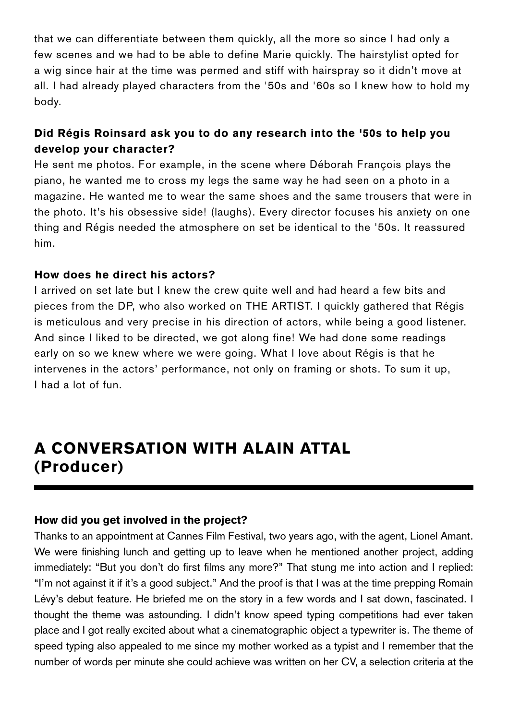that we can differentiate between them quickly, all the more so since I had only a few scenes and we had to be able to define Marie quickly. The hairstylist opted for a wig since hair at the time was permed and stiff with hairspray so it didn't move at all. I had already played characters from the '50s and '60s so I knew how to hold my body.

# Did Régis Roinsard ask you to do any research into the '50s to help you develop your character?

He sent me photos. For example, in the scene where Déborah François plays the piano, he wanted me to cross my legs the same way he had seen on a photo in a magazine. He wanted me to wear the same shoes and the same trousers that were in the photo. It's his obsessive side! (laughs). Every director focuses his anxiety on one thing and Régis needed the atmosphere on set be identical to the '50s. It reassured him.

# How does he direct his actors?

I arrived on set late but I knew the crew quite well and had heard a few bits and pieces from the DP, who also worked on THE ARTIST. I quickly gathered that Régis is meticulous and very precise in his direction of actors, while being a good listener. And since I liked to be directed, we got along fine! We had done some readings early on so we knew where we were going. What I love about Régis is that he intervenes in the actors' performance, not only on framing or shots. To sum it up, I had a lot of fun.

# A CONVERSATION WITH ALAIN ATTAL (Producer)

#### How did you get involved in the project?

Thanks to an appointment at Cannes Film Festival, two years ago, with the agent, Lionel Amant. We were finishing lunch and getting up to leave when he mentioned another project, adding immediately: "But you don't do first films any more?" That stung me into action and I replied: "I'm not against it if it's a good subject." And the proof is that I was at the time prepping Romain Lévy's debut feature. He briefed me on the story in a few words and I sat down, fascinated. I thought the theme was astounding. I didn't know speed typing competitions had ever taken place and I got really excited about what a cinematographic object a typewriter is. The theme of speed typing also appealed to me since my mother worked as a typist and I remember that the number of words per minute she could achieve was written on her CV, a selection criteria at the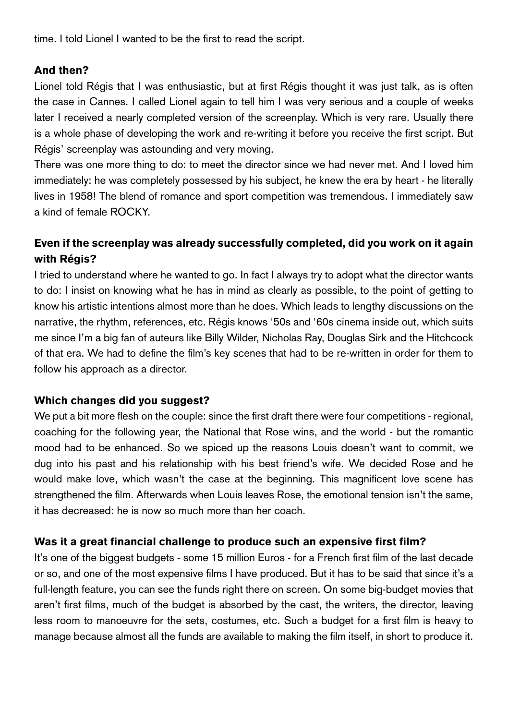time. I told Lionel I wanted to be the first to read the script.

# And then?

Lionel told Régis that I was enthusiastic, but at first Régis thought it was just talk, as is often the case in Cannes. I called Lionel again to tell him I was very serious and a couple of weeks later I received a nearly completed version of the screenplay. Which is very rare. Usually there is a whole phase of developing the work and re-writing it before you receive the first script. But Régis' screenplay was astounding and very moving.

There was one more thing to do: to meet the director since we had never met. And I loved him immediately: he was completely possessed by his subject, he knew the era by heart - he literally lives in 1958! The blend of romance and sport competition was tremendous. I immediately saw a kind of female ROCKY.

# Even if the screenplay was already successfully completed, did you work on it again with Régis?

I tried to understand where he wanted to go. In fact I always try to adopt what the director wants to do: I insist on knowing what he has in mind as clearly as possible, to the point of getting to know his artistic intentions almost more than he does. Which leads to lengthy discussions on the narrative, the rhythm, references, etc. Régis knows '50s and '60s cinema inside out, which suits me since I'm a big fan of auteurs like Billy Wilder, Nicholas Ray, Douglas Sirk and the Hitchcock of that era. We had to define the film's key scenes that had to be re-written in order for them to follow his approach as a director.

# Which changes did you suggest?

We put a bit more flesh on the couple: since the first draft there were four competitions - regional, coaching for the following year, the National that Rose wins, and the world - but the romantic mood had to be enhanced. So we spiced up the reasons Louis doesn't want to commit, we dug into his past and his relationship with his best friend's wife. We decided Rose and he would make love, which wasn't the case at the beginning. This magnificent love scene has strengthened the film. Afterwards when Louis leaves Rose, the emotional tension isn't the same, it has decreased: he is now so much more than her coach.

#### Was it a great financial challenge to produce such an expensive first film?

It's one of the biggest budgets - some 15 million Euros - for a French first film of the last decade or so, and one of the most expensive films I have produced. But it has to be said that since it's a full-length feature, you can see the funds right there on screen. On some big-budget movies that aren't first films, much of the budget is absorbed by the cast, the writers, the director, leaving less room to manoeuvre for the sets, costumes, etc. Such a budget for a first film is heavy to manage because almost all the funds are available to making the film itself, in short to produce it.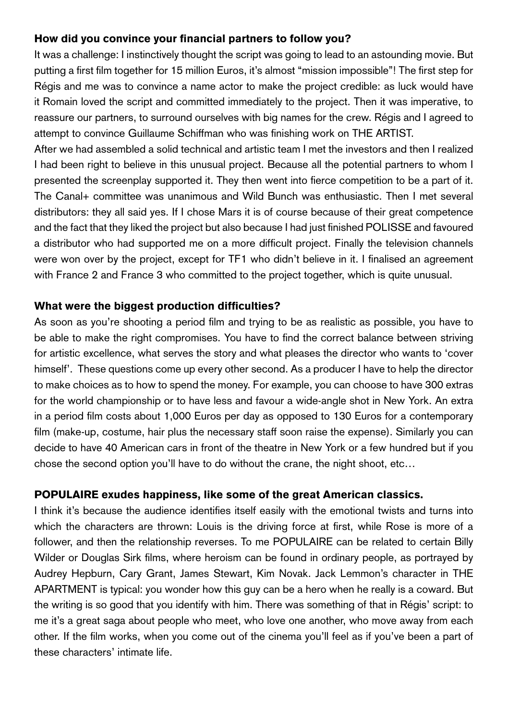# How did you convince your financial partners to follow you?

It was a challenge: I instinctively thought the script was going to lead to an astounding movie. But putting a first film together for 15 million Euros, it's almost "mission impossible"! The first step for Régis and me was to convince a name actor to make the project credible: as luck would have it Romain loved the script and committed immediately to the project. Then it was imperative, to reassure our partners, to surround ourselves with big names for the crew. Régis and I agreed to attempt to convince Guillaume Schiffman who was finishing work on THE ARTIST.

After we had assembled a solid technical and artistic team I met the investors and then I realized I had been right to believe in this unusual project. Because all the potential partners to whom I presented the screenplay supported it. They then went into fierce competition to be a part of it. The Canal+ committee was unanimous and Wild Bunch was enthusiastic. Then I met several distributors: they all said yes. If I chose Mars it is of course because of their great competence and the fact that they liked the project but also because I had just finished POLISSE and favoured a distributor who had supported me on a more difficult project. Finally the television channels were won over by the project, except for TF1 who didn't believe in it. I finalised an agreement with France 2 and France 3 who committed to the project together, which is quite unusual.

# What were the biggest production difficulties?

As soon as you're shooting a period film and trying to be as realistic as possible, you have to be able to make the right compromises. You have to find the correct balance between striving for artistic excellence, what serves the story and what pleases the director who wants to 'cover himself'. These questions come up every other second. As a producer I have to help the director to make choices as to how to spend the money. For example, you can choose to have 300 extras for the world championship or to have less and favour a wide-angle shot in New York. An extra in a period film costs about 1,000 Euros per day as opposed to 130 Euros for a contemporary film (make-up, costume, hair plus the necessary staff soon raise the expense). Similarly you can decide to have 40 American cars in front of the theatre in New York or a few hundred but if you chose the second option you'll have to do without the crane, the night shoot, etc…

# POPULAIRE exudes happiness, like some of the great American classics.

I think it's because the audience identifies itself easily with the emotional twists and turns into which the characters are thrown: Louis is the driving force at first, while Rose is more of a follower, and then the relationship reverses. To me POPULAIRE can be related to certain Billy Wilder or Douglas Sirk films, where heroism can be found in ordinary people, as portrayed by Audrey Hepburn, Cary Grant, James Stewart, Kim Novak. Jack Lemmon's character in THE APARTMENT is typical: you wonder how this guy can be a hero when he really is a coward. But the writing is so good that you identify with him. There was something of that in Régis' script: to me it's a great saga about people who meet, who love one another, who move away from each other. If the film works, when you come out of the cinema you'll feel as if you've been a part of these characters' intimate life.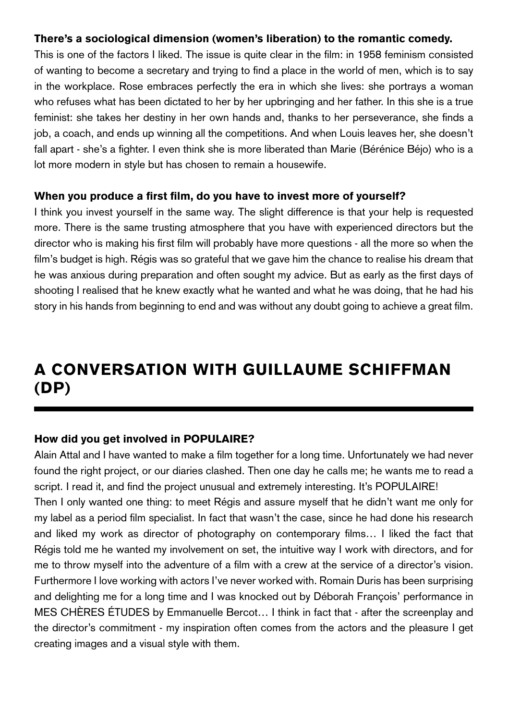# There's a sociological dimension (women's liberation) to the romantic comedy.

This is one of the factors I liked. The issue is quite clear in the film: in 1958 feminism consisted of wanting to become a secretary and trying to find a place in the world of men, which is to say in the workplace. Rose embraces perfectly the era in which she lives: she portrays a woman who refuses what has been dictated to her by her upbringing and her father. In this she is a true feminist: she takes her destiny in her own hands and, thanks to her perseverance, she finds a job, a coach, and ends up winning all the competitions. And when Louis leaves her, she doesn't fall apart - she's a fighter. I even think she is more liberated than Marie (Bérénice Béjo) who is a lot more modern in style but has chosen to remain a housewife.

#### When you produce a first film, do you have to invest more of yourself?

I think you invest yourself in the same way. The slight difference is that your help is requested more. There is the same trusting atmosphere that you have with experienced directors but the director who is making his first film will probably have more questions - all the more so when the film's budget is high. Régis was so grateful that we gave him the chance to realise his dream that he was anxious during preparation and often sought my advice. But as early as the first days of shooting I realised that he knew exactly what he wanted and what he was doing, that he had his story in his hands from beginning to end and was without any doubt going to achieve a great film.

# A CONVERSATION WITH GUILLAUME SCHIFFMAN (DP)

#### How did you get involved in POPULAIRE?

Alain Attal and I have wanted to make a film together for a long time. Unfortunately we had never found the right project, or our diaries clashed. Then one day he calls me; he wants me to read a script. I read it, and find the project unusual and extremely interesting. It's POPULAIRE!

Then I only wanted one thing: to meet Régis and assure myself that he didn't want me only for my label as a period film specialist. In fact that wasn't the case, since he had done his research and liked my work as director of photography on contemporary films… I liked the fact that Régis told me he wanted my involvement on set, the intuitive way I work with directors, and for me to throw myself into the adventure of a film with a crew at the service of a director's vision. Furthermore I love working with actors I've never worked with. Romain Duris has been surprising and delighting me for a long time and I was knocked out by Déborah François' performance in MES CHÈRES ÉTUDES by Emmanuelle Bercot… I think in fact that - after the screenplay and the director's commitment - my inspiration often comes from the actors and the pleasure I get creating images and a visual style with them.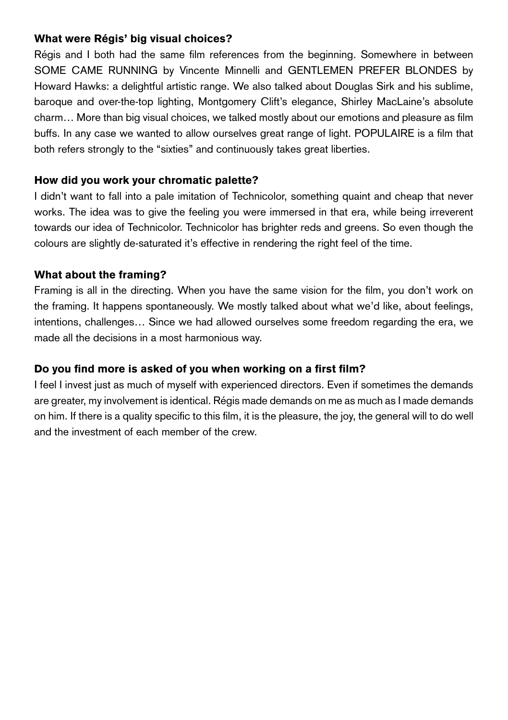# What were Régis' big visual choices?

Régis and I both had the same film references from the beginning. Somewhere in between SOME CAME RUNNING by Vincente Minnelli and GENTLEMEN PREFER BLONDES by Howard Hawks: a delightful artistic range. We also talked about Douglas Sirk and his sublime, baroque and over-the-top lighting, Montgomery Clift's elegance, Shirley MacLaine's absolute charm… More than big visual choices, we talked mostly about our emotions and pleasure as film buffs. In any case we wanted to allow ourselves great range of light. POPULAIRE is a film that both refers strongly to the "sixties" and continuously takes great liberties.

# How did you work your chromatic palette?

I didn't want to fall into a pale imitation of Technicolor, something quaint and cheap that never works. The idea was to give the feeling you were immersed in that era, while being irreverent towards our idea of Technicolor. Technicolor has brighter reds and greens. So even though the colours are slightly de-saturated it's effective in rendering the right feel of the time.

# What about the framing?

Framing is all in the directing. When you have the same vision for the film, you don't work on the framing. It happens spontaneously. We mostly talked about what we'd like, about feelings, intentions, challenges… Since we had allowed ourselves some freedom regarding the era, we made all the decisions in a most harmonious way.

# Do you find more is asked of you when working on a first film?

I feel I invest just as much of myself with experienced directors. Even if sometimes the demands are greater, my involvement is identical. Régis made demands on me as much as I made demands on him. If there is a quality specific to this film, it is the pleasure, the joy, the general will to do well and the investment of each member of the crew.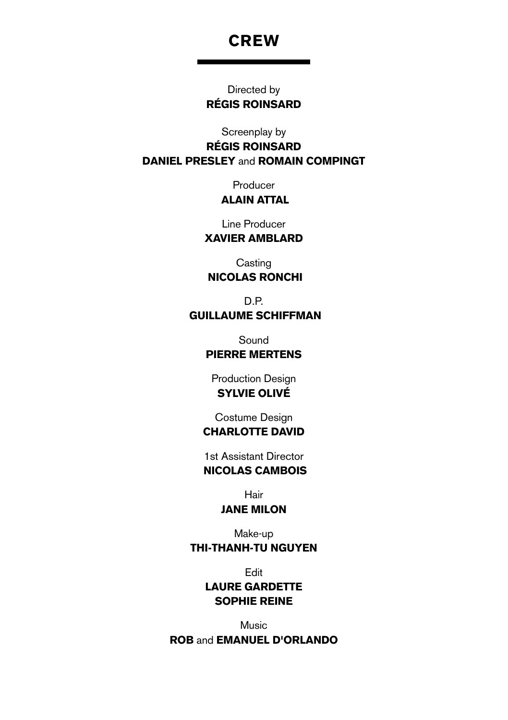# **CREW**

Directed by Régis Roinsard

Screenplay by

Régis Roinsard Daniel Presley and Romain Compingt

> Producer Alain Attal

Line Producer

# Xavier Amblard

**Casting** Nicolas Ronchi

D.P. Guillaume Schiffman

Sound

## Pierre Mertens

Production Design Sylvie Olivé

Costume Design Charlotte David

1st Assistant Director Nicolas Cambois

Hair

# Jane Milon

Make-up Thi-Thanh-Tu Nguyen

Edit

# Laure Gardette Sophie Reine

Music ROB and EMANUEL D'ORLANDO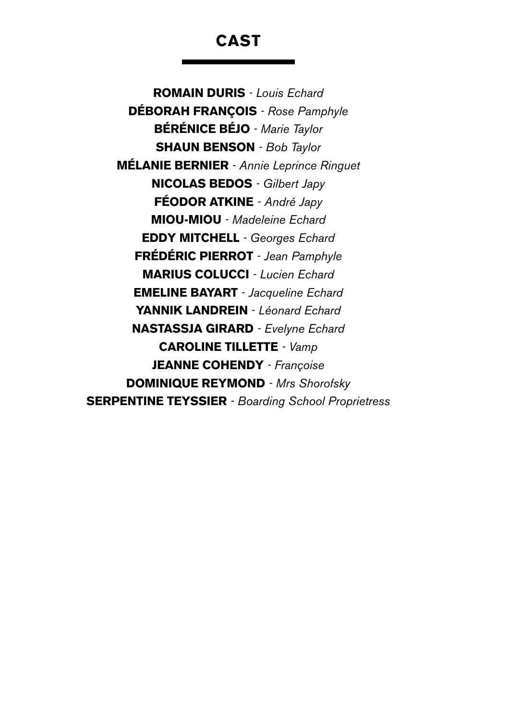# CAST

Romain Duris *- Louis Echard* Déborah François *- Rose Pamphyle* Bérénice Béjo *- Marie Taylor* Shaun Benson *- Bob Taylor* Mélanie Bernier *- Annie Leprince Ringuet* Nicolas Bedos *- Gilbert Japy* FÉODOR ATKINE *- André Japy* Miou-Miou *- Madeleine Echard* Eddy Mitchell *- Georges Echard* Frédéric Pierrot *- Jean Pamphyle* MarIUs Colucci *- Lucien Echard* **EMELINE BAYART** - Jacqueline Echard Yannik Landrein *- Léonard Echard* NastassJa Girard *- Evelyne Echard* Caroline TilLette *- Vamp* Jeanne Cohendy *- Françoise* Dominique Reymond *- Mrs Shorofsky* Serpentine Teyssier *- Boarding School Proprietress*